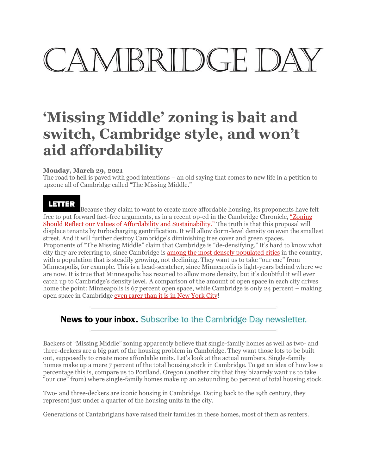# CAMBRIDGE DA'

# **'Missing Middle' zoning is bait and switch, Cambridge style, and won't aid affordability**

## **Monday, March 29, 2021**

The road to hell is paved with good intentions – an old saying that comes to new life in a petition to upzone all of Cambridge called "The Missing Middle."

## Larrer

Because they claim to want to create more affordable housing, its proponen[ts have fe](https://www.wickedlocal.com/story/cambridge-chronicle-tab/2021/03/22/op-ed-zoning-should-reflect-our-values-affordability-and-sustainability/4797553001/)lt [free to put forward fact-free arguments, as in a recent op-ed in](https://www.wickedlocal.com/story/cambridge-chronicle-tab/2021/03/22/op-ed-zoning-should-reflect-our-values-affordability-and-sustainability/4797553001/) the Cambridge Chronicle, ["Zoning](https://www.wickedlocal.com/story/cambridge-chronicle-tab/2021/03/22/op-ed-zoning-should-reflect-our-values-affordability-and-sustainability/4797553001/) Should Reflect our Values of Affordability and [Sustainability."](https://www.wickedlocal.com/story/cambridge-chronicle-tab/2021/03/22/op-ed-zoning-should-reflect-our-values-affordability-and-sustainability/4797553001/) The truth is that this proposal will displace tenants by turbocharging gentrification. It will allow dorm-level density on even the smallest street. And it will further destroy Cambridge's diminishing tree cover and green spaces. Proponents of "The Missing Middle" claim t[hat Cambridge is "de](https://www.governing.com/archive/population-density-land-area-cities-map.html)-densifying." It's hard to know what city they are referring to, since Cambridge is among the most densely [populated](https://www.governing.com/archive/population-density-land-area-cities-map.html) cities in the country, with a population that is steadily growing, not declining. They want us to take "our cue" from Minneapolis, for example. This is a head-scratcher, since Minneapolis is light-years behind where we are now. It is true that Minneapolis has rezoned to allow more density, but it's doubtful it will ever catch up to Cambridge's density level. A comparison of the amount of open space in each city drives home the point: Minneap[olis is 67 percent open space, while Ca](https://depts.washington.edu/open2100/Resources/1_OpenSpaceSystems/Open_Space_Systems/new_york.pdf)mbridge is only 24 percent – making [open space in Cambridge](https://cambridgeday.us18.list-manage.com/subscribe?u=eecd3ef37a64e583227e98281&id=50134283f9) even [rarer](https://depts.washington.edu/open2100/Resources/1_OpenSpaceSystems/Open_Space_Systems/new_york.pdf) than it is in New York City!

# **News to your inbox.** Subscribe to the Cambridge Day newsletter.

Backers of "Missing Middle" zoning apparently believe that single-family homes as well as two- and three-deckers are a big part of the housing problem in Cambridge. They want those lots to be built out, supposedly to create more affordable units. Let's look at the actual numbers. Single-family homes make up a mere 7 percent of the total housing stock in Cambridge. To get an idea of how low a percentage this is, compare us to Portland, Oregon (another city that they bizarrely want us to take "our cue" from) where single-family homes make up an astounding 60 percent of total housing stock.

Two- and three-deckers are iconic housing in Cambridge. Dating back to the 19th century, they represent just under a quarter of the housing units in the city.

Generations of Cantabrigians have raised their families in these homes, most of them as renters.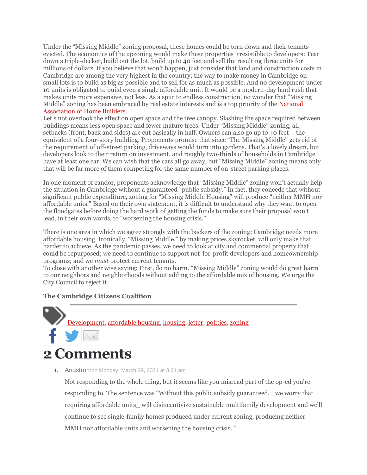Under the "Missing Middle" zoning proposal, these homes could be torn down and their tenants evicted. The economics of the upzoning would make these properties irresistible to developers: Tear down a triple-decker, build out the lot, build up to 40 feet and sell the resulting three units for millions of dollars. If you believe that won't happen, just consider that land and construction costs in Cambridge are among the very highest in the country; the way to make money in Cambridge on small lots is to build as big as possible and to sell for as much as possible. And no development under 10 units is obligated to build even a single affordable unit. It would be a modern-day [land rush](https://www.nahb.org/advocacy/industry-issues/land-use-101/What-is-the-Missing-Middle-of-Housing) that [makes units more expensive, n](https://www.nahb.org/advocacy/industry-issues/land-use-101/What-is-the-Missing-Middle-of-Housing)ot less. As a spur to endless construction, no wonder that "Missing Middle" zoning has been embraced by real estate interests and is a top priority of the [National](https://www.nahb.org/advocacy/industry-issues/land-use-101/What-is-the-Missing-Middle-of-Housing) [Association](https://www.nahb.org/advocacy/industry-issues/land-use-101/What-is-the-Missing-Middle-of-Housing) of Home Builders.

Let's not overlook the effect on open space and the tree canopy. Slashing the space required between buildings means less open space and fewer mature trees. Under "Missing Middle" zoning, all setbacks (front, back and sides) are cut basically in half. Owners can also go up to 40 feet – the equivalent of a four-story building. Proponents promise that since "The Missing Middle" gets rid of the requirement of off-street parking, driveways would turn into gardens. That's a lovely dream, but developers look to their return on investment, and roughly two-thirds of households in Cambridge have at least one car. We can wish that the cars all go away, but "Missing Middle" zoning means only that will be far more of them competing for the same number of on-street parking places.

In one moment of candor, proponents acknowledge that "Missing Middle" zoning won't actually help the situation in Cambridge without a guaranteed "public subsidy." In fact, they concede that without significant public expenditure, zoning for "Missing Middle Housing" will produce "neither MMH nor affordable units." Based on their own statement, it is difficult to understand why they want to open the floodgates before doing the hard work of getting the funds to make sure their proposal won't lead, in their own words, to "worsening the housing crisis."

There is one area in which we agree strongly with the backers of the zoning: Cambridge needs more affordable housing. Ironically, "Missing Middle," by making prices skyrocket, will only make that harder to achieve. As the pandemic passes, we need to look at city and commercial property that could be repurposed; we need to continue to support not-for-profit developers and homeownership programs; and we *must* protect current tenants.

To close with another wise saying: First, do no harm. "Missing Middle" zoning would do great harm to our neighbors and neighborhoods without adding to the affordable mix of housing. We urge the City Council to reject it.

#### **The Ca[mbridge](https://www.cambridgeday.com/tag/development/) Citizens [Coalition](https://www.cambridgeday.com/tag/affordable-housing/)**



# **2 Comments**

1. Angstromon Monday, March 29, 2021 at 8:21 am

Not responding to the whole thing, but it seems like you misread part of the op-ed you're responding to. The sentence was "Without this public subsidy guaranteed, \_we worry that requiring affordable units\_ will disincentivize sustainable multifamily development and we'll continue to see single-family homes produced under current zoning, producing neither MMH nor affordable units and worsening the housing crisis. "